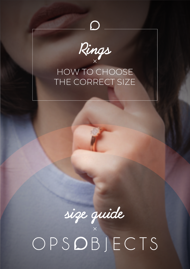

 $\overline{O}$ 

## HOW TO CHOOSE THE CORRECT SIZE



size quide<br>OPS**O**BJECTS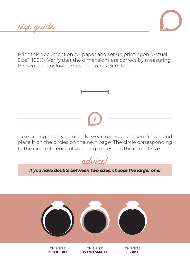**size guide**



Print this document on A4 paper and set up printingon "Actual Size" (100%) .Verify that the dimensions are correct by measuring the segment below: it must be exactly 3cm long .



**advice!**

*If you have doubts between two sizes, choose the larger one!*



**THIS SIZE IS TOO BIG!**

**THIS SIZE IS TOO SMALL!** **THIS SIZE IS** OK!